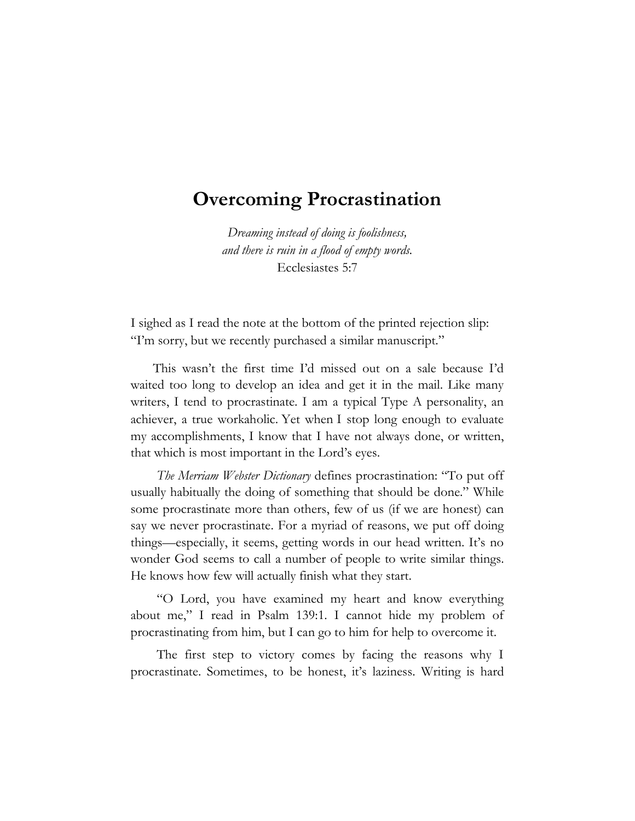## **Overcoming Procrastination**

*Dreaming instead of doing is foolishness, and there is ruin in a flood of empty words.* Ecclesiastes 5:7

I sighed as I read the note at the bottom of the printed rejection slip: "I'm sorry, but we recently purchased a similar manuscript."

This wasn't the first time I'd missed out on a sale because I'd waited too long to develop an idea and get it in the mail. Like many writers, I tend to procrastinate. I am a typical Type A personality, an achiever, a true workaholic. Yet when I stop long enough to evaluate my accomplishments, I know that I have not always done, or written, that which is most important in the Lord's eyes.

*The Merriam Webster Dictionary* defines procrastination: "To put off usually habitually the doing of something that should be done." While some procrastinate more than others, few of us (if we are honest) can say we never procrastinate. For a myriad of reasons, we put off doing things—especially, it seems, getting words in our head written. It's no wonder God seems to call a number of people to write similar things. He knows how few will actually finish what they start.

"O Lord, you have examined my heart and know everything about me," I read in Psalm 139:1. I cannot hide my problem of procrastinating from him, but I can go to him for help to overcome it.

The first step to victory comes by facing the reasons why I procrastinate. Sometimes, to be honest, it's laziness. Writing is hard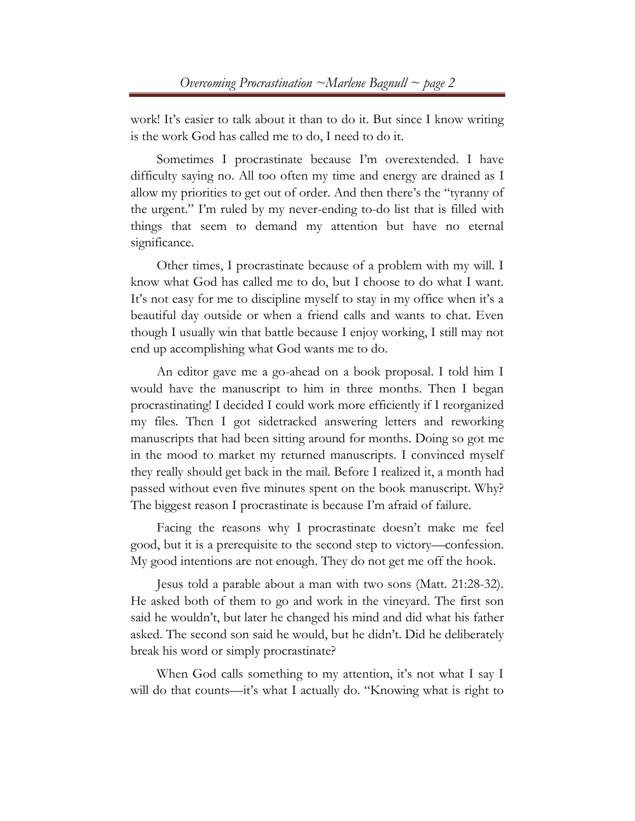work! It's easier to talk about it than to do it. But since I know writing is the work God has called me to do, I need to do it.

Sometimes I procrastinate because I'm overextended. I have difficulty saying no. All too often my time and energy are drained as I allow my priorities to get out of order. And then there's the "tyranny of the urgent." I'm ruled by my never-ending to-do list that is filled with things that seem to demand my attention but have no eternal significance.

Other times, I procrastinate because of a problem with my will. I know what God has called me to do, but I choose to do what I want. It's not easy for me to discipline myself to stay in my office when it's a beautiful day outside or when a friend calls and wants to chat. Even though I usually win that battle because I enjoy working, I still may not end up accomplishing what God wants me to do.

An editor gave me a go-ahead on a book proposal. I told him I would have the manuscript to him in three months. Then I began procrastinating! I decided I could work more efficiently if I reorganized my files. Then I got sidetracked answering letters and reworking manuscripts that had been sitting around for months. Doing so got me in the mood to market my returned manuscripts. I convinced myself they really should get back in the mail. Before I realized it, a month had passed without even five minutes spent on the book manuscript. Why? The biggest reason I procrastinate is because I'm afraid of failure.

Facing the reasons why I procrastinate doesn't make me feel good, but it is a prerequisite to the second step to victory—confession. My good intentions are not enough. They do not get me off the hook.

Jesus told a parable about a man with two sons (Matt. 21:28-32). He asked both of them to go and work in the vineyard. The first son said he wouldn't, but later he changed his mind and did what his father asked. The second son said he would, but he didn't. Did he deliberately break his word or simply procrastinate?

When God calls something to my attention, it's not what I say I will do that counts—it's what I actually do. "Knowing what is right to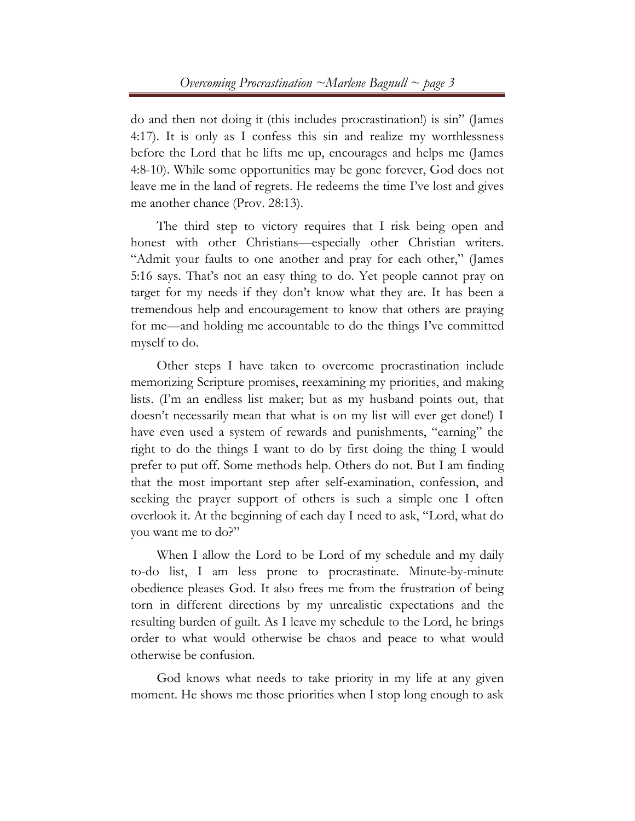do and then not doing it (this includes procrastination!) is sin" (James 4:17). It is only as I confess this sin and realize my worthlessness before the Lord that he lifts me up, encourages and helps me (James 4:8-10). While some opportunities may be gone forever, God does not leave me in the land of regrets. He redeems the time I've lost and gives me another chance (Prov. 28:13).

The third step to victory requires that I risk being open and honest with other Christians—especially other Christian writers. "Admit your faults to one another and pray for each other," (James 5:16 says. That's not an easy thing to do. Yet people cannot pray on target for my needs if they don't know what they are. It has been a tremendous help and encouragement to know that others are praying for me—and holding me accountable to do the things I've committed myself to do.

Other steps I have taken to overcome procrastination include memorizing Scripture promises, reexamining my priorities, and making lists. (I'm an endless list maker; but as my husband points out, that doesn't necessarily mean that what is on my list will ever get done!) I have even used a system of rewards and punishments, "earning" the right to do the things I want to do by first doing the thing I would prefer to put off. Some methods help. Others do not. But I am finding that the most important step after self-examination, confession, and seeking the prayer support of others is such a simple one I often overlook it. At the beginning of each day I need to ask, "Lord, what do you want me to do?"

When I allow the Lord to be Lord of my schedule and my daily to-do list, I am less prone to procrastinate. Minute-by-minute obedience pleases God. It also frees me from the frustration of being torn in different directions by my unrealistic expectations and the resulting burden of guilt. As I leave my schedule to the Lord, he brings order to what would otherwise be chaos and peace to what would otherwise be confusion.

God knows what needs to take priority in my life at any given moment. He shows me those priorities when I stop long enough to ask